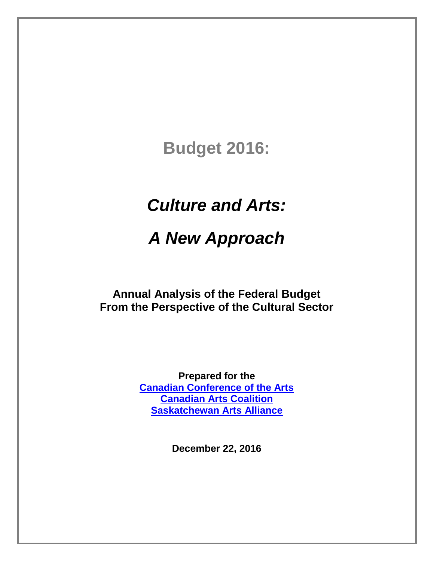# **Budget 2016:**

# *Culture and Arts:*

# *A New Approach*

**Annual Analysis of the Federal Budget From the Perspective of the Cultural Sector**

> **Prepared for the [Canadian Conference of the Arts](http://ccarts.ca/) [Canadian Arts Coalition](http://www.canadianartscoalition.com/) [Saskatchewan Arts Alliance](http://www.artsalliance.sk.ca/)**

> > **December 22, 2016**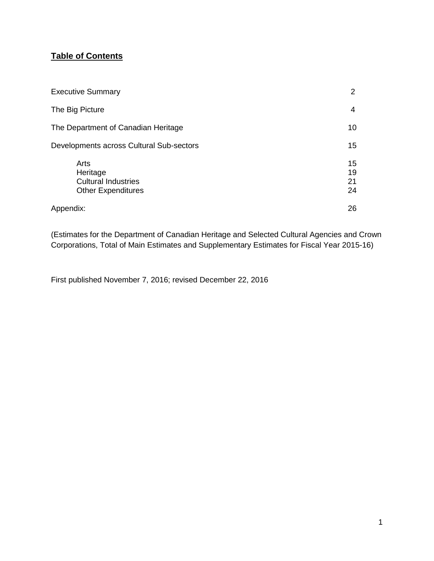## **Table of Contents**

| <b>Executive Summary</b>                                                    | 2                    |
|-----------------------------------------------------------------------------|----------------------|
| The Big Picture                                                             | 4                    |
| The Department of Canadian Heritage                                         | 10                   |
| Developments across Cultural Sub-sectors                                    | 15                   |
| Arts<br>Heritage<br><b>Cultural Industries</b><br><b>Other Expenditures</b> | 15<br>19<br>21<br>24 |
| Appendix:                                                                   | 26                   |

(Estimates for the Department of Canadian Heritage and Selected Cultural Agencies and Crown Corporations, Total of Main Estimates and Supplementary Estimates for Fiscal Year 2015-16)

First published November 7, 2016; revised December 22, 2016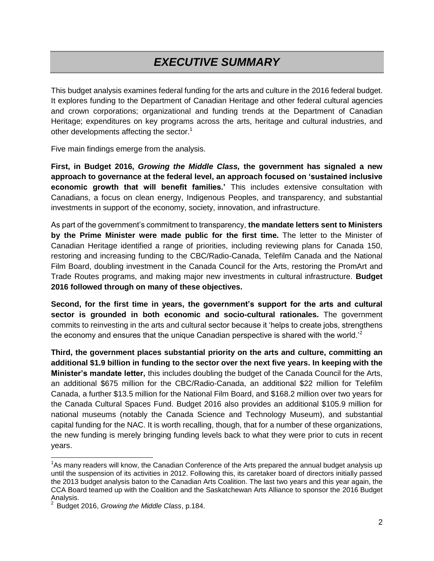# *EXECUTIVE SUMMARY*

This budget analysis examines federal funding for the arts and culture in the 2016 federal budget. It explores funding to the Department of Canadian Heritage and other federal cultural agencies and crown corporations; organizational and funding trends at the Department of Canadian Heritage; expenditures on key programs across the arts, heritage and cultural industries, and other developments affecting the sector.<sup>1</sup>

Five main findings emerge from the analysis.

**First, in Budget 2016,** *Growing the Middle Class,* **the government has signaled a new approach to governance at the federal level, an approach focused on 'sustained inclusive economic growth that will benefit families.'** This includes extensive consultation with Canadians, a focus on clean energy, Indigenous Peoples, and transparency, and substantial investments in support of the economy, society, innovation, and infrastructure.

As part of the government's commitment to transparency, **the mandate letters sent to Ministers by the Prime Minister were made public for the first time.** The letter to the Minister of Canadian Heritage identified a range of priorities, including reviewing plans for Canada 150, restoring and increasing funding to the CBC/Radio-Canada, Telefilm Canada and the National Film Board, doubling investment in the Canada Council for the Arts, restoring the PromArt and Trade Routes programs, and making major new investments in cultural infrastructure. **Budget 2016 followed through on many of these objectives.**

**Second, for the first time in years, the government's support for the arts and cultural sector is grounded in both economic and socio-cultural rationales.** The government commits to reinvesting in the arts and cultural sector because it 'helps to create jobs, strengthens the economy and ensures that the unique Canadian perspective is shared with the world.<sup>2</sup>

**Third, the government places substantial priority on the arts and culture, committing an additional \$1.9 billion in funding to the sector over the next five years. In keeping with the Minister's mandate letter,** this includes doubling the budget of the Canada Council for the Arts, an additional \$675 million for the CBC/Radio-Canada, an additional \$22 million for Telefilm Canada, a further \$13.5 million for the National Film Board, and \$168.2 million over two years for the Canada Cultural Spaces Fund. Budget 2016 also provides an additional \$105.9 million for national museums (notably the Canada Science and Technology Museum), and substantial capital funding for the NAC. It is worth recalling, though, that for a number of these organizations, the new funding is merely bringing funding levels back to what they were prior to cuts in recent years.

 $\overline{\phantom{a}}$ 

<sup>&</sup>lt;sup>1</sup>As many readers will know, the Canadian Conference of the Arts prepared the annual budget analysis up until the suspension of its activities in 2012. Following this, its caretaker board of directors initially passed the 2013 budget analysis baton to the Canadian Arts Coalition. The last two years and this year again, the CCA Board teamed up with the Coalition and the Saskatchewan Arts Alliance to sponsor the 2016 Budget Analysis.<br><sup>2</sup> Budget

Budget 2016, *Growing the Middle Class*, p.184.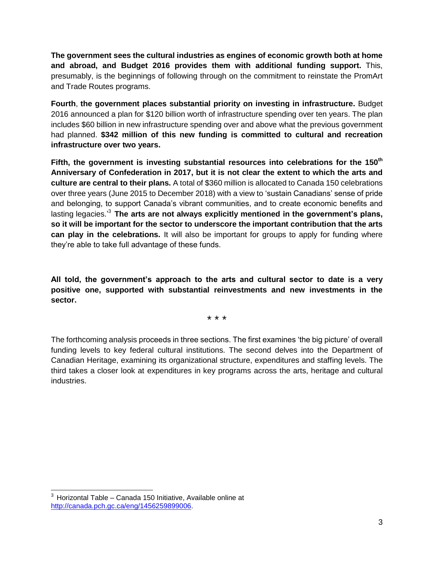**The government sees the cultural industries as engines of economic growth both at home and abroad, and Budget 2016 provides them with additional funding support.** This, presumably, is the beginnings of following through on the commitment to reinstate the PromArt and Trade Routes programs.

**Fourth**, **the government places substantial priority on investing in infrastructure.** Budget 2016 announced a plan for \$120 billion worth of infrastructure spending over ten years. The plan includes \$60 billion in new infrastructure spending over and above what the previous government had planned. **\$342 million of this new funding is committed to cultural and recreation infrastructure over two years.**

**Fifth, the government is investing substantial resources into celebrations for the 150th Anniversary of Confederation in 2017, but it is not clear the extent to which the arts and culture are central to their plans.** A total of \$360 million is allocated to Canada 150 celebrations over three years (June 2015 to December 2018) with a view to 'sustain Canadians' sense of pride and belonging, to support Canada's vibrant communities, and to create economic benefits and lasting legacies.' <sup>3</sup> **The arts are not always explicitly mentioned in the government's plans, so it will be important for the sector to underscore the important contribution that the arts can play in the celebrations.** It will also be important for groups to apply for funding where they're able to take full advantage of these funds.

**All told, the government's approach to the arts and cultural sector to date is a very positive one, supported with substantial reinvestments and new investments in the sector.**

\* \* \*

The forthcoming analysis proceeds in three sections. The first examines 'the big picture' of overall funding levels to key federal cultural institutions. The second delves into the Department of Canadian Heritage, examining its organizational structure, expenditures and staffing levels. The third takes a closer look at expenditures in key programs across the arts, heritage and cultural industries.

 $3$  Horizontal Table – Canada 150 Initiative, Available online at [http://canada.pch.gc.ca/eng/1456259899006.](http://canada.pch.gc.ca/eng/1456259899006)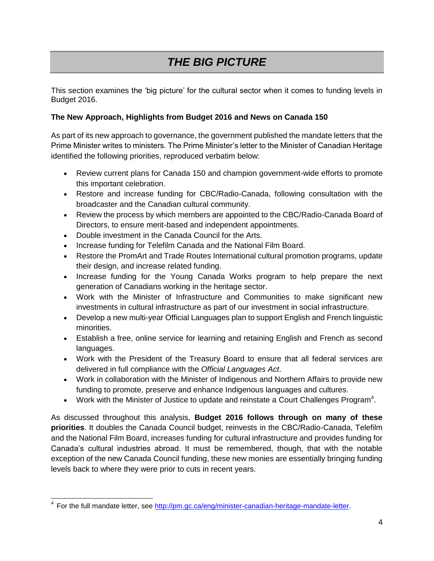# *THE BIG PICTURE*

This section examines the 'big picture' for the cultural sector when it comes to funding levels in Budget 2016.

## **The New Approach, Highlights from Budget 2016 and News on Canada 150**

As part of its new approach to governance, the government published the mandate letters that the Prime Minister writes to ministers. The Prime Minister's letter to the Minister of Canadian Heritage identified the following priorities, reproduced verbatim below:

- Review current plans for Canada 150 and champion government-wide efforts to promote this important celebration.
- Restore and increase funding for CBC/Radio-Canada, following consultation with the broadcaster and the Canadian cultural community.
- Review the process by which members are appointed to the CBC/Radio-Canada Board of Directors, to ensure merit-based and independent appointments.
- Double investment in the Canada Council for the Arts.
- Increase funding for Telefilm Canada and the National Film Board.
- Restore the PromArt and Trade Routes International cultural promotion programs, update their design, and increase related funding.
- Increase funding for the Young Canada Works program to help prepare the next generation of Canadians working in the heritage sector.
- Work with the Minister of Infrastructure and Communities to make significant new investments in cultural infrastructure as part of our investment in social infrastructure.
- Develop a new multi-year Official Languages plan to support English and French linguistic minorities.
- Establish a free, online service for learning and retaining English and French as second languages.
- Work with the President of the Treasury Board to ensure that all federal services are delivered in full compliance with the *Official Languages Act*.
- Work in collaboration with the Minister of Indigenous and Northern Affairs to provide new funding to promote, preserve and enhance Indigenous languages and cultures.
- Work with the Minister of Justice to update and reinstate a Court Challenges Program<sup>4</sup>.

As discussed throughout this analysis, **Budget 2016 follows through on many of these priorities**. It doubles the Canada Council budget, reinvests in the CBC/Radio-Canada, Telefilm and the National Film Board, increases funding for cultural infrastructure and provides funding for Canada's cultural industries abroad. It must be remembered, though, that with the notable exception of the new Canada Council funding, these new monies are essentially bringing funding levels back to where they were prior to cuts in recent years.

 <sup>4</sup> For the full mandate letter, see [http://pm.gc.ca/eng/minister-canadian-heritage-mandate-letter.](http://pm.gc.ca/eng/minister-canadian-heritage-mandate-letter)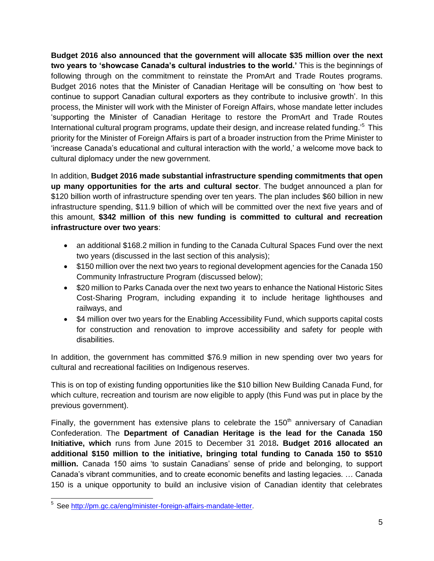**Budget 2016 also announced that the government will allocate \$35 million over the next two years to 'showcase Canada's cultural industries to the world.'** This is the beginnings of following through on the commitment to reinstate the PromArt and Trade Routes programs. Budget 2016 notes that the Minister of Canadian Heritage will be consulting on 'how best to continue to support Canadian cultural exporters as they contribute to inclusive growth'. In this process, the Minister will work with the Minister of Foreign Affairs, whose mandate letter includes 'supporting the Minister of Canadian Heritage to restore the PromArt and Trade Routes International cultural program programs, update their design, and increase related funding.<sup>5</sup> This priority for the Minister of Foreign Affairs is part of a broader instruction from the Prime Minister to 'increase Canada's educational and cultural interaction with the world,' a welcome move back to cultural diplomacy under the new government.

In addition, **Budget 2016 made substantial infrastructure spending commitments that open up many opportunities for the arts and cultural sector**. The budget announced a plan for \$120 billion worth of infrastructure spending over ten years. The plan includes \$60 billion in new infrastructure spending, \$11.9 billion of which will be committed over the next five years and of this amount, **\$342 million of this new funding is committed to cultural and recreation infrastructure over two years**:

- an additional \$168.2 million in funding to the Canada Cultural Spaces Fund over the next two years (discussed in the last section of this analysis);
- \$150 million over the next two years to regional development agencies for the Canada 150 Community Infrastructure Program (discussed below);
- \$20 million to Parks Canada over the next two years to enhance the National Historic Sites Cost-Sharing Program, including expanding it to include heritage lighthouses and railways, and
- \$4 million over two years for the Enabling Accessibility Fund, which supports capital costs for construction and renovation to improve accessibility and safety for people with disabilities.

In addition, the government has committed \$76.9 million in new spending over two years for cultural and recreational facilities on Indigenous reserves.

This is on top of existing funding opportunities like the \$10 billion New Building Canada Fund, for which culture, recreation and tourism are now eligible to apply (this Fund was put in place by the previous government).

Finally, the government has extensive plans to celebrate the  $150<sup>th</sup>$  anniversary of Canadian Confederation. The **Department of Canadian Heritage is the lead for the Canada 150 Initiative, which** runs from June 2015 to December 31 2018**. Budget 2016 allocated an additional \$150 million to the initiative, bringing total funding to Canada 150 to \$510 million.** Canada 150 aims 'to sustain Canadians' sense of pride and belonging, to support Canada's vibrant communities, and to create economic benefits and lasting legacies. … Canada 150 is a unique opportunity to build an inclusive vision of Canadian identity that celebrates

<sup>&</sup>lt;u>s</u><br><sup>5</sup> See <u>http://pm.gc.ca/eng/minister-foreign-affairs-mandate-letter.</u>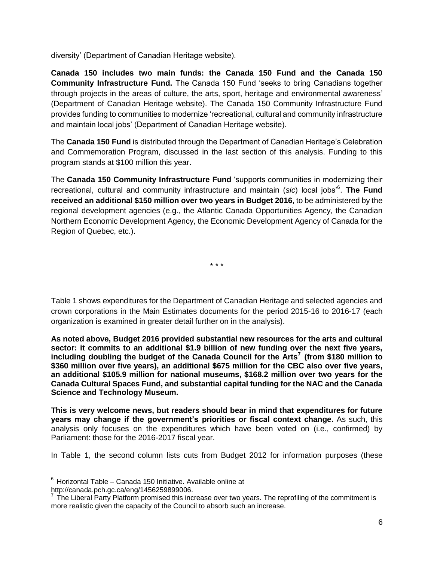diversity' (Department of Canadian Heritage website).

**Canada 150 includes two main funds: the Canada 150 Fund and the Canada 150 Community Infrastructure Fund.** The Canada 150 Fund 'seeks to bring Canadians together through projects in the areas of culture, the arts, sport, heritage and environmental awareness' (Department of Canadian Heritage website). The Canada 150 Community Infrastructure Fund provides funding to communities to modernize 'recreational, cultural and community infrastructure and maintain local jobs' (Department of Canadian Heritage website).

The **Canada 150 Fund** is distributed through the Department of Canadian Heritage's Celebration and Commemoration Program, discussed in the last section of this analysis. Funding to this program stands at \$100 million this year.

The **Canada 150 Community Infrastructure Fund** 'supports communities in modernizing their recreational, cultural and community infrastructure and maintain (*sic*) local jobs'<sup>6</sup> . **The Fund received an additional \$150 million over two years in Budget 2016**, to be administered by the regional development agencies (e.g., the Atlantic Canada Opportunities Agency, the Canadian Northern Economic Development Agency, the Economic Development Agency of Canada for the Region of Quebec, etc.).

\* \* \*

Table 1 shows expenditures for the Department of Canadian Heritage and selected agencies and crown corporations in the Main Estimates documents for the period 2015-16 to 2016-17 (each organization is examined in greater detail further on in the analysis).

**As noted above, Budget 2016 provided substantial new resources for the arts and cultural sector: it commits to an additional \$1.9 billion of new funding over the next five years, including doubling the budget of the Canada Council for the Arts<sup>7</sup> (from \$180 million to \$360 million over five years), an additional \$675 million for the CBC also over five years, an additional \$105.9 million for national museums, \$168.2 million over two years for the Canada Cultural Spaces Fund, and substantial capital funding for the NAC and the Canada Science and Technology Museum.** 

**This is very welcome news, but readers should bear in mind that expenditures for future years may change if the government's priorities or fiscal context change.** As such, this analysis only focuses on the expenditures which have been voted on (i.e., confirmed) by Parliament: those for the 2016-2017 fiscal year.

In Table 1, the second column lists cuts from Budget 2012 for information purposes (these

  $6$  Horizontal Table – Canada 150 Initiative. Available online at

http://canada.pch.gc.ca/eng/1456259899006.<br><sup>7</sup> The Liberal Party Platform promised this increase over two years. The reprofiling of the commitment is more realistic given the capacity of the Council to absorb such an increase.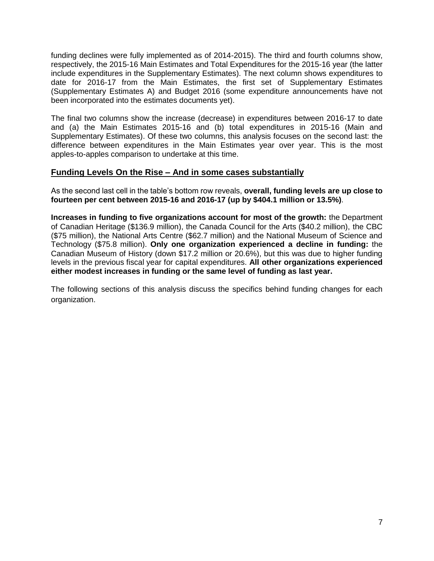funding declines were fully implemented as of 2014-2015). The third and fourth columns show, respectively, the 2015-16 Main Estimates and Total Expenditures for the 2015-16 year (the latter include expenditures in the Supplementary Estimates). The next column shows expenditures to date for 2016-17 from the Main Estimates, the first set of Supplementary Estimates (Supplementary Estimates A) and Budget 2016 (some expenditure announcements have not been incorporated into the estimates documents yet).

The final two columns show the increase (decrease) in expenditures between 2016-17 to date and (a) the Main Estimates 2015-16 and (b) total expenditures in 2015-16 (Main and Supplementary Estimates). Of these two columns, this analysis focuses on the second last: the difference between expenditures in the Main Estimates year over year. This is the most apples-to-apples comparison to undertake at this time.

## **Funding Levels On the Rise – And in some cases substantially**

As the second last cell in the table's bottom row reveals, **overall, funding levels are up close to fourteen per cent between 2015-16 and 2016-17 (up by \$404.1 million or 13.5%)**.

**Increases in funding to five organizations account for most of the growth:** the Department of Canadian Heritage (\$136.9 million), the Canada Council for the Arts (\$40.2 million), the CBC (\$75 million), the National Arts Centre (\$62.7 million) and the National Museum of Science and Technology (\$75.8 million). **Only one organization experienced a decline in funding:** the Canadian Museum of History (down \$17.2 million or 20.6%), but this was due to higher funding levels in the previous fiscal year for capital expenditures. **All other organizations experienced either modest increases in funding or the same level of funding as last year.** 

The following sections of this analysis discuss the specifics behind funding changes for each organization.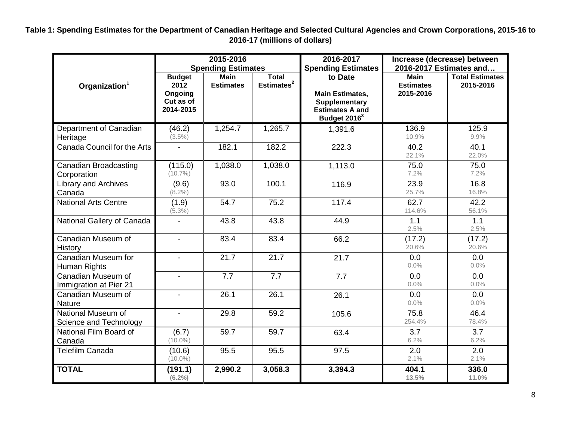**Table 1: Spending Estimates for the Department of Canadian Heritage and Selected Cultural Agencies and Crown Corporations, 2015-16 to 2016-17 (millions of dollars)**

|                                              |                                                            | 2015-2016<br><b>Spending Estimates</b> |                                        | 2016-2017<br><b>Spending Estimates</b>                                                                   | Increase (decrease) between<br>2016-2017 Estimates and |                                     |  |  |
|----------------------------------------------|------------------------------------------------------------|----------------------------------------|----------------------------------------|----------------------------------------------------------------------------------------------------------|--------------------------------------------------------|-------------------------------------|--|--|
| Organization <sup>1</sup>                    | <b>Budget</b><br>2012<br>Ongoing<br>Cut as of<br>2014-2015 | <b>Main</b><br><b>Estimates</b>        | <b>Total</b><br>Estimates <sup>2</sup> | to Date<br><b>Main Estimates,</b><br>Supplementary<br><b>Estimates A and</b><br>Budget 2016 <sup>3</sup> | <b>Main</b><br><b>Estimates</b><br>2015-2016           | <b>Total Estimates</b><br>2015-2016 |  |  |
| Department of Canadian<br>Heritage           | (46.2)<br>$(3.5\%)$                                        | 1,254.7                                | 1,265.7                                | 1,391.6                                                                                                  | 136.9<br>10.9%                                         | 125.9<br>9.9%                       |  |  |
| Canada Council for the Arts                  |                                                            | 182.1                                  | 182.2                                  | 222.3                                                                                                    | 40.2<br>22.1%                                          | 40.1<br>22.0%                       |  |  |
| <b>Canadian Broadcasting</b><br>Corporation  | (115.0)<br>$(10.7\%)$                                      | 1,038.0                                | 1,038.0                                | 1,113.0                                                                                                  | 75.0<br>7.2%                                           | 75.0<br>7.2%                        |  |  |
| Library and Archives<br>Canada               | (9.6)<br>$(8.2\%)$                                         | 93.0                                   | 100.1                                  | 116.9                                                                                                    | 23.9<br>25.7%                                          | 16.8<br>16.8%                       |  |  |
| <b>National Arts Centre</b>                  | (1.9)<br>$(5.3\%)$                                         | 54.7                                   | 75.2                                   | 117.4                                                                                                    | 62.7<br>114.6%                                         | 42.2<br>56.1%                       |  |  |
| National Gallery of Canada                   | $\overline{\phantom{a}}$                                   | 43.8                                   | 43.8                                   | 44.9                                                                                                     | 1.1<br>2.5%                                            | 1.1<br>2.5%                         |  |  |
| Canadian Museum of<br>History                | $\blacksquare$                                             | 83.4                                   | 83.4                                   | 66.2                                                                                                     | (17.2)<br>20.6%                                        | (17.2)<br>20.6%                     |  |  |
| Canadian Museum for<br>Human Rights          | $\blacksquare$                                             | 21.7                                   | 21.7                                   | 21.7                                                                                                     | 0.0<br>0.0%                                            | 0.0<br>0.0%                         |  |  |
| Canadian Museum of<br>Immigration at Pier 21 | $\blacksquare$                                             | 7.7                                    | 7.7                                    | 7.7                                                                                                      | 0.0<br>0.0%                                            | 0.0<br>0.0%                         |  |  |
| Canadian Museum of<br>Nature                 | $\blacksquare$                                             | 26.1                                   | 26.1                                   | 26.1                                                                                                     | 0.0<br>0.0%                                            | 0.0<br>0.0%                         |  |  |
| National Museum of<br>Science and Technology |                                                            | 29.8                                   | 59.2                                   | 105.6                                                                                                    | 75.8<br>254.4%                                         | 46.4<br>78.4%                       |  |  |
| National Film Board of<br>Canada             | (6.7)<br>$(10.0\%)$                                        | 59.7                                   | 59.7                                   | 63.4                                                                                                     | 3.7<br>6.2%                                            | 3.7<br>6.2%                         |  |  |
| Telefilm Canada                              | (10.6)<br>$(10.0\%)$                                       | 95.5                                   | 95.5                                   | 97.5                                                                                                     | 2.0<br>2.1%                                            | 2.0<br>2.1%                         |  |  |
| <b>TOTAL</b>                                 | (191.1)<br>$(6.2\%)$                                       | 2,990.2                                | 3,058.3                                | 3,394.3                                                                                                  | 404.1<br>13.5%                                         | 336.0<br>11.0%                      |  |  |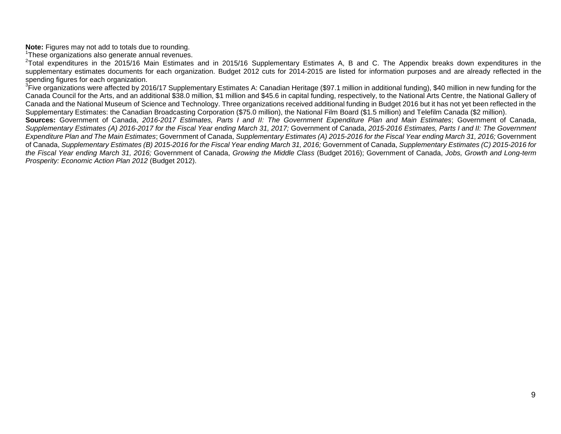**Note:** Figures may not add to totals due to rounding.

<sup>1</sup>These organizations also generate annual revenues.

<sup>2</sup>Total expenditures in the 2015/16 Main Estimates and in 2015/16 Supplementary Estimates A, B and C. The Appendix breaks down expenditures in the supplementary estimates documents for each organization. Budget 2012 cuts for 2014-2015 are listed for information purposes and are already reflected in the spending figures for each organization.

<sup>3</sup>Five organizations were affected by 2016/17 Supplementary Estimates A: Canadian Heritage (\$97.1 million in additional funding), \$40 million in new funding for the Canada Council for the Arts, and an additional \$38.0 million, \$1 million and \$45.6 in capital funding, respectively, to the National Arts Centre, the National Gallery of Canada and the National Museum of Science and Technology. Three organizations received additional funding in Budget 2016 but it has not yet been reflected in the Supplementary Estimates: the Canadian Broadcasting Corporation (\$75.0 million), the National Film Board (\$1.5 million) and Telefilm Canada (\$2 million).

**Sources:** Government of Canada, *2016-2017 Estimates, Parts I and II: The Government Expenditure Plan and Main Estimates*; Government of Canada, *Supplementary Estimates (A) 2016-2017 for the Fiscal Year ending March 31, 2017;* Government of Canada, *2015-2016 Estimates, Parts I and II: The Government Expenditure Plan and The Main Estimates*; Government of Canada, *Supplementary Estimates (A) 2015-2016 for the Fiscal Year ending March 31, 2016;* Government of Canada, *Supplementary Estimates (B) 2015-2016 for the Fiscal Year ending March 31, 2016;* Government of Canada, *Supplementary Estimates (C) 2015-2016 for the Fiscal Year ending March 31, 2016;* Government of Canada, *Growing the Middle Class* (Budget 2016); Government of Canada, *Jobs, Growth and Long-term Prosperity: Economic Action Plan 2012* (Budget 2012).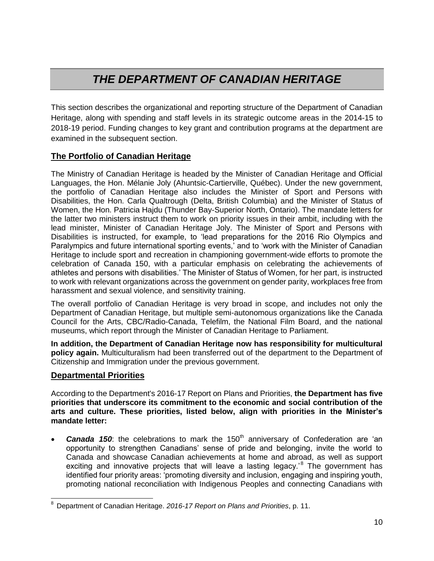## *THE DEPARTMENT OF CANADIAN HERITAGE*

This section describes the organizational and reporting structure of the Department of Canadian Heritage, along with spending and staff levels in its strategic outcome areas in the 2014-15 to 2018-19 period. Funding changes to key grant and contribution programs at the department are examined in the subsequent section.

## **The Portfolio of Canadian Heritage**

The Ministry of Canadian Heritage is headed by the Minister of Canadian Heritage and Official Languages, the Hon. Mélanie Joly (Ahuntsic-Cartierville, Québec). Under the new government, the portfolio of Canadian Heritage also includes the Minister of Sport and Persons with Disabilities, the Hon. Carla Qualtrough (Delta, British Columbia) and the Minister of Status of Women, the Hon. Patricia Hajdu (Thunder Bay-Superior North, Ontario). The mandate letters for the latter two ministers instruct them to work on priority issues in their ambit, including with the lead minister, Minister of Canadian Heritage Joly. The Minister of Sport and Persons with Disabilities is instructed, for example, to 'lead preparations for the 2016 Rio Olympics and Paralympics and future international sporting events,' and to 'work with the Minister of Canadian Heritage to include sport and recreation in championing government-wide efforts to promote the celebration of Canada 150, with a particular emphasis on celebrating the achievements of athletes and persons with disabilities.' The Minister of Status of Women, for her part, is instructed to work with relevant organizations across the government on gender parity, workplaces free from harassment and sexual violence, and sensitivity training.

The overall portfolio of Canadian Heritage is very broad in scope, and includes not only the Department of Canadian Heritage, but multiple semi-autonomous organizations like the Canada Council for the Arts, CBC/Radio-Canada, Telefilm, the National Film Board, and the national museums, which report through the Minister of Canadian Heritage to Parliament.

**In addition, the Department of Canadian Heritage now has responsibility for multicultural policy again.** Multiculturalism had been transferred out of the department to the Department of Citizenship and Immigration under the previous government.

## **Departmental Priorities**

j

According to the Department's 2016-17 Report on Plans and Priorities, **the Department has five priorities that underscore its commitment to the economic and social contribution of the arts and culture. These priorities, listed below, align with priorities in the Minister's mandate letter:**

**Canada 150:** the celebrations to mark the 150<sup>th</sup> anniversary of Confederation are 'an opportunity to strengthen Canadians' sense of pride and belonging, invite the world to Canada and showcase Canadian achievements at home and abroad, as well as support exciting and innovative projects that will leave a lasting legacy.<sup>8</sup> The government has identified four priority areas: 'promoting diversity and inclusion, engaging and inspiring youth, promoting national reconciliation with Indigenous Peoples and connecting Canadians with

<sup>8</sup> Department of Canadian Heritage. *2016-17 Report on Plans and Priorities*, p. 11.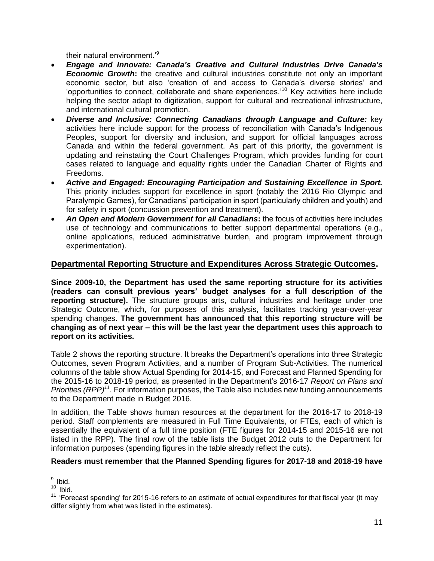their natural environment.'<sup>9</sup>

- *Engage and Innovate: Canada's Creative and Cultural Industries Drive Canada's Economic Growth*: the creative and cultural industries constitute not only an important economic sector, but also 'creation of and access to Canada's diverse stories' and 'opportunities to connect, collaborate and share experiences.<sup>10</sup> Key activities here include helping the sector adapt to digitization, support for cultural and recreational infrastructure, and international cultural promotion.
- *Diverse and Inclusive: Connecting Canadians through Language and Culture:* key activities here include support for the process of reconciliation with Canada's Indigenous Peoples, support for diversity and inclusion, and support for official languages across Canada and within the federal government. As part of this priority, the government is updating and reinstating the Court Challenges Program, which provides funding for court cases related to language and equality rights under the Canadian Charter of Rights and Freedoms.
- *Active and Engaged: Encouraging Participation and Sustaining Excellence in Sport.*  This priority includes support for excellence in sport (notably the 2016 Rio Olympic and Paralympic Games), for Canadians' participation in sport (particularly children and youth) and for safety in sport (concussion prevention and treatment).
- *An Open and Modern Government for all Canadians***:** the focus of activities here includes use of technology and communications to better support departmental operations (e.g., online applications, reduced administrative burden, and program improvement through experimentation).

## **Departmental Reporting Structure and Expenditures Across Strategic Outcomes.**

**Since 2009-10, the Department has used the same reporting structure for its activities (readers can consult previous years' budget analyses for a full description of the reporting structure).** The structure groups arts, cultural industries and heritage under one Strategic Outcome, which, for purposes of this analysis, facilitates tracking year-over-year spending changes. **The government has announced that this reporting structure will be changing as of next year – this will be the last year the department uses this approach to report on its activities.**

Table 2 shows the reporting structure. It breaks the Department's operations into three Strategic Outcomes, seven Program Activities, and a number of Program Sub-Activities. The numerical columns of the table show Actual Spending for 2014-15, and Forecast and Planned Spending for the 2015-16 to 2018-19 period, as presented in the Department's 2016-17 *Report on Plans and Priorities (RPP)<sup>11</sup>* . For information purposes, the Table also includes new funding announcements to the Department made in Budget 2016.

In addition, the Table shows human resources at the department for the 2016-17 to 2018-19 period. Staff complements are measured in Full Time Equivalents, or FTEs, each of which is essentially the equivalent of a full time position (FTE figures for 2014-15 and 2015-16 are not listed in the RPP). The final row of the table lists the Budget 2012 cuts to the Department for information purposes (spending figures in the table already reflect the cuts).

#### **Readers must remember that the Planned Spending figures for 2017-18 and 2018-19 have**

<sup>&</sup>lt;sub>9</sub><br>Bid.

 $10$  Ibid.

<sup>&</sup>lt;sup>11</sup> 'Forecast spending' for 2015-16 refers to an estimate of actual expenditures for that fiscal year (it may differ slightly from what was listed in the estimates).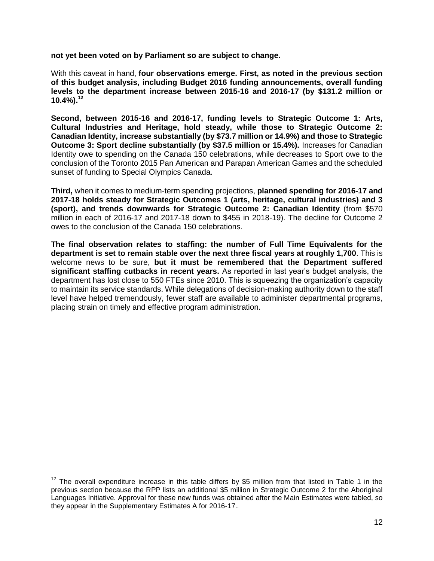**not yet been voted on by Parliament so are subject to change.** 

With this caveat in hand, **four observations emerge. First, as noted in the previous section of this budget analysis, including Budget 2016 funding announcements, overall funding levels to the department increase between 2015-16 and 2016-17 (by \$131.2 million or 10.4%).<sup>12</sup>**

**Second, between 2015-16 and 2016-17, funding levels to Strategic Outcome 1: Arts, Cultural Industries and Heritage, hold steady, while those to Strategic Outcome 2: Canadian Identity, increase substantially (by \$73.7 million or 14.9%) and those to Strategic Outcome 3: Sport decline substantially (by \$37.5 million or 15.4%).** Increases for Canadian Identity owe to spending on the Canada 150 celebrations, while decreases to Sport owe to the conclusion of the Toronto 2015 Pan American and Parapan American Games and the scheduled sunset of funding to Special Olympics Canada.

**Third,** when it comes to medium-term spending projections, **planned spending for 2016-17 and 2017-18 holds steady for Strategic Outcomes 1 (arts, heritage, cultural industries) and 3 (sport), and trends downwards for Strategic Outcome 2: Canadian Identity** (from \$570 million in each of 2016-17 and 2017-18 down to \$455 in 2018-19). The decline for Outcome 2 owes to the conclusion of the Canada 150 celebrations.

**The final observation relates to staffing: the number of Full Time Equivalents for the department is set to remain stable over the next three fiscal years at roughly 1,700**. This is welcome news to be sure, **but it must be remembered that the Department suffered significant staffing cutbacks in recent years.** As reported in last year's budget analysis, the department has lost close to 550 FTEs since 2010. This is squeezing the organization's capacity to maintain its service standards. While delegations of decision-making authority down to the staff level have helped tremendously, fewer staff are available to administer departmental programs, placing strain on timely and effective program administration.

  $12$  The overall expenditure increase in this table differs by \$5 million from that listed in Table 1 in the previous section because the RPP lists an additional \$5 million in Strategic Outcome 2 for the Aboriginal Languages Initiative. Approval for these new funds was obtained after the Main Estimates were tabled, so they appear in the Supplementary Estimates A for 2016-17.*.*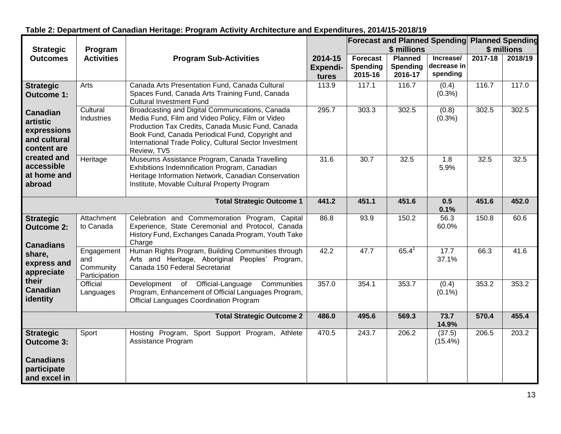|                                                                           |                                                 |                                                                                                                                                                                                                                                                                       |                                     |                                               |                                              | <b>Forecast and Planned Spending Planned Spending</b> |             |         |
|---------------------------------------------------------------------------|-------------------------------------------------|---------------------------------------------------------------------------------------------------------------------------------------------------------------------------------------------------------------------------------------------------------------------------------------|-------------------------------------|-----------------------------------------------|----------------------------------------------|-------------------------------------------------------|-------------|---------|
| <b>Strategic</b>                                                          | Program                                         |                                                                                                                                                                                                                                                                                       |                                     |                                               | \$ millions                                  |                                                       | \$ millions |         |
| <b>Outcomes</b>                                                           | <b>Activities</b>                               | <b>Program Sub-Activities</b>                                                                                                                                                                                                                                                         | 2014-15<br><b>Expendi-</b><br>tures | <b>Forecast</b><br><b>Spending</b><br>2015-16 | <b>Planned</b><br><b>Spending</b><br>2016-17 | Increase/<br>decrease in<br>spending                  | 2017-18     | 2018/19 |
| <b>Strategic</b><br><b>Outcome 1:</b>                                     | Arts                                            | Canada Arts Presentation Fund, Canada Cultural<br>Spaces Fund, Canada Arts Training Fund, Canada<br><b>Cultural Investment Fund</b>                                                                                                                                                   | 113.9                               | 117.1                                         | 116.7                                        | (0.4)<br>(0.3% )                                      | 116.7       | 117.0   |
| <b>Canadian</b><br>artistic<br>expressions<br>and cultural<br>content are | Cultural<br>Industries                          | Broadcasting and Digital Communications, Canada<br>Media Fund, Film and Video Policy, Film or Video<br>Production Tax Credits, Canada Music Fund, Canada<br>Book Fund, Canada Periodical Fund, Copyright and<br>International Trade Policy, Cultural Sector Investment<br>Review, TV5 | 295.7                               | 303.3                                         | 302.5                                        | (0.8)<br>$(0.3\%)$                                    | 302.5       | 302.5   |
| created and<br>accessible<br>at home and<br>abroad                        | Heritage                                        | Museums Assistance Program, Canada Travelling<br>Exhibitions Indemnification Program, Canadian<br>Heritage Information Network, Canadian Conservation<br>Institute, Movable Cultural Property Program                                                                                 | 31.6                                | 30.7                                          | 32.5                                         | 1.8<br>5.9%                                           | 32.5        | 32.5    |
|                                                                           |                                                 | <b>Total Strategic Outcome 1</b>                                                                                                                                                                                                                                                      | 441.2                               | 451.1                                         | 451.6                                        | 0.5<br>0.1%                                           | 451.6       | 452.0   |
| <b>Strategic</b><br><b>Outcome 2:</b><br><b>Canadians</b>                 | Attachment<br>to Canada                         | Celebration and Commemoration Program, Capital<br>Experience, State Ceremonial and Protocol, Canada<br>History Fund, Exchanges Canada Program, Youth Take<br>Charge                                                                                                                   | 86.8                                | 93.9                                          | 150.2                                        | 56.3<br>60.0%                                         | 150.8       | 60.6    |
| share,<br>express and<br>appreciate                                       | Engagement<br>and<br>Community<br>Participation | Human Rights Program, Building Communities through<br>Arts and Heritage, Aboriginal Peoples' Program,<br>Canada 150 Federal Secretariat                                                                                                                                               | 42.2                                | 47.7                                          | $65.4^1$                                     | 17.7<br>37.1%                                         | 66.3        | 41.6    |
| their<br><b>Canadian</b><br>identity                                      | Official<br>Languages                           | Development of Official-Language<br>Communities<br>Program, Enhancement of Official Languages Program,<br>Official Languages Coordination Program                                                                                                                                     | 357.0                               | 354.1                                         | 353.7                                        | (0.4)<br>$(0.1\%)$                                    | 353.2       | 353.2   |
|                                                                           |                                                 | <b>Total Strategic Outcome 2</b>                                                                                                                                                                                                                                                      | 486.0                               | 495.6                                         | 569.3                                        | 73.7<br>14.9%                                         | 570.4       | 455.4   |
| <b>Strategic</b><br><b>Outcome 3:</b>                                     | Sport                                           | Hosting Program, Sport Support Program, Athlete<br>Assistance Program                                                                                                                                                                                                                 | 470.5                               | 243.7                                         | 206.2                                        | (37.5)<br>$(15.4\%)$                                  | 206.5       | 203.2   |
| <b>Canadians</b><br>participate<br>and excel in                           |                                                 |                                                                                                                                                                                                                                                                                       |                                     |                                               |                                              |                                                       |             |         |

## **Table 2: Department of Canadian Heritage: Program Activity Architecture and Expenditures, 2014/15-2018/19**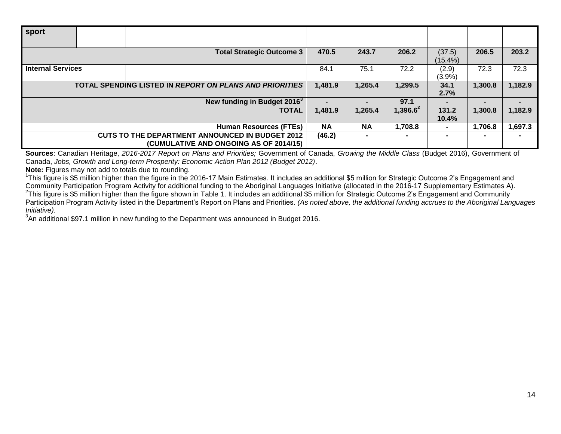| sport                                                          |  |                                         |           |           |                |                |         |         |
|----------------------------------------------------------------|--|-----------------------------------------|-----------|-----------|----------------|----------------|---------|---------|
|                                                                |  |                                         |           |           |                |                |         |         |
|                                                                |  | <b>Total Strategic Outcome 3</b>        | 470.5     | 243.7     | 206.2          | (37.5)         | 206.5   | 203.2   |
|                                                                |  |                                         |           |           |                | $(15.4\%)$     |         |         |
| <b>Internal Services</b>                                       |  |                                         | 84.1      | 75.1      | 72.2           | (2.9)          | 72.3    | 72.3    |
|                                                                |  |                                         |           |           |                | $(3.9\%)$      |         |         |
| <b>TOTAL SPENDING LISTED IN REPORT ON PLANS AND PRIORITIES</b> |  |                                         |           | 1,265.4   | 1,299.5        | 34.1           | 1,300.8 | 1,182.9 |
|                                                                |  |                                         |           |           |                | 2.7%           |         |         |
|                                                                |  | New funding in Budget 2016 <sup>3</sup> |           |           | 97.1           |                |         |         |
| <b>TOTAL</b>                                                   |  |                                         |           | 1,265.4   | 1,396.6 $^{2}$ | 131.2          | 1,300.8 | 1,182.9 |
|                                                                |  |                                         |           |           |                | 10.4%          |         |         |
|                                                                |  | <b>Human Resources (FTEs)</b>           | <b>NA</b> | <b>NA</b> | 1,708.8        | $\blacksquare$ | 1,706.8 | 1,697.3 |
| <b>CUTS TO THE DEPARTMENT ANNOUNCED IN BUDGET 2012</b>         |  |                                         |           |           |                |                |         |         |
|                                                                |  | (CUMULATIVE AND ONGOING AS OF 2014/15)  |           |           |                |                |         |         |

**Sources**: Canadian Heritage, *2016-2017 Report on Plans and Priorities;* Government of Canada, *Growing the Middle Class* (Budget 2016), Government of Canada, *Jobs, Growth and Long-term Prosperity: Economic Action Plan 2012 (Budget 2012)*.

**Note:** Figures may not add to totals due to rounding.

<sup>1</sup>This figure is \$5 million higher than the figure in the 2016-17 Main Estimates. It includes an additional \$5 million for Strategic Outcome 2's Engagement and Community Participation Program Activity for additional funding to the Aboriginal Languages Initiative (allocated in the 2016-17 Supplementary Estimates A).  $^2$ This figure is \$5 million higher than the figure shown in Table 1. It includes an additional \$5 million for Strategic Outcome 2's Engagement and Community Participation Program Activity listed in the Department's Report on Plans and Priorities. *(As noted above, the additional funding accrues to the Aboriginal Languages Initiative).*

 $3$ An additional \$97.1 million in new funding to the Department was announced in Budget 2016.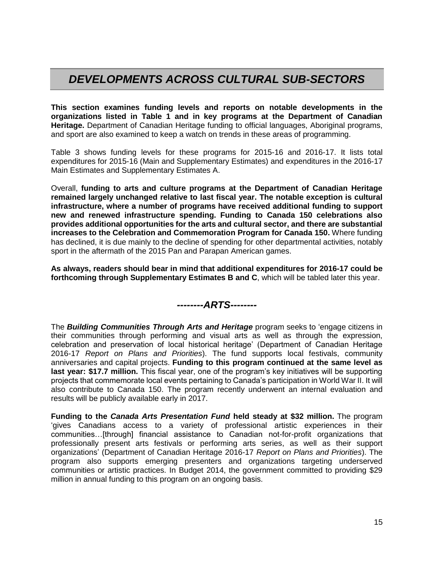## *DEVELOPMENTS ACROSS CULTURAL SUB-SECTORS*

**This section examines funding levels and reports on notable developments in the organizations listed in Table 1 and in key programs at the Department of Canadian Heritage.** Department of Canadian Heritage funding to official languages, Aboriginal programs, and sport are also examined to keep a watch on trends in these areas of programming.

Table 3 shows funding levels for these programs for 2015-16 and 2016-17. It lists total expenditures for 2015-16 (Main and Supplementary Estimates) and expenditures in the 2016-17 Main Estimates and Supplementary Estimates A.

Overall, **funding to arts and culture programs at the Department of Canadian Heritage remained largely unchanged relative to last fiscal year. The notable exception is cultural infrastructure, where a number of programs have received additional funding to support new and renewed infrastructure spending. Funding to Canada 150 celebrations also provides additional opportunities for the arts and cultural sector, and there are substantial increases to the Celebration and Commemoration Program for Canada 150.** Where funding has declined, it is due mainly to the decline of spending for other departmental activities, notably sport in the aftermath of the 2015 Pan and Parapan American games.

**As always, readers should bear in mind that additional expenditures for 2016-17 could be forthcoming through Supplementary Estimates B and C**, which will be tabled later this year.

## *--------ARTS--------*

The *Building Communities Through Arts and Heritage* program seeks to 'engage citizens in their communities through performing and visual arts as well as through the expression, celebration and preservation of local historical heritage' (Department of Canadian Heritage 2016-17 *Report on Plans and Priorities*). The fund supports local festivals, community anniversaries and capital projects. **Funding to this program continued at the same level as last year: \$17.7 million.** This fiscal year, one of the program's key initiatives will be supporting projects that commemorate local events pertaining to Canada's participation in World War II. It will also contribute to Canada 150. The program recently underwent an internal evaluation and results will be publicly available early in 2017.

**Funding to the** *Canada Arts Presentation Fund* **held steady at \$32 million.** The program 'gives Canadians access to a variety of professional artistic experiences in their communities…[through] financial assistance to Canadian not-for-profit organizations that professionally present arts festivals or performing arts series, as well as their support organizations' (Department of Canadian Heritage 2016-17 *Report on Plans and Priorities*). The program also supports emerging presenters and organizations targeting underserved communities or artistic practices. In Budget 2014, the government committed to providing \$29 million in annual funding to this program on an ongoing basis.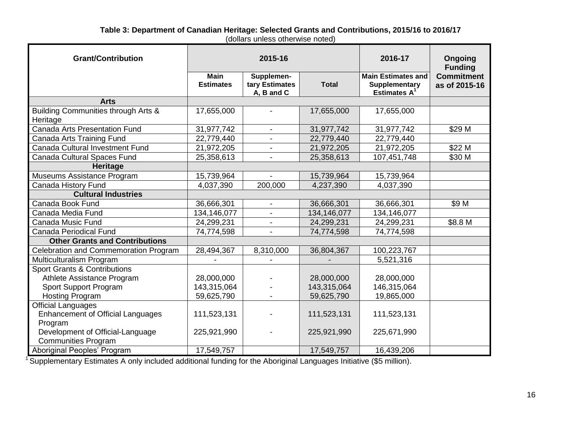#### **Table 3: Department of Canadian Heritage: Selected Grants and Contributions, 2015/16 to 2016/17** (dollars unless otherwise noted)

| <b>Grant/Contribution</b>                       | 2015-16                         |                                            |              | 2016-17                                                          | Ongoing<br><b>Funding</b>          |  |
|-------------------------------------------------|---------------------------------|--------------------------------------------|--------------|------------------------------------------------------------------|------------------------------------|--|
|                                                 | <b>Main</b><br><b>Estimates</b> | Supplemen-<br>tary Estimates<br>A, B and C | <b>Total</b> | <b>Main Estimates and</b><br>Supplementary<br><b>Estimates A</b> | <b>Commitment</b><br>as of 2015-16 |  |
| <b>Arts</b>                                     |                                 |                                            |              |                                                                  |                                    |  |
| Building Communities through Arts &<br>Heritage | 17,655,000                      |                                            | 17,655,000   | 17,655,000                                                       |                                    |  |
| <b>Canada Arts Presentation Fund</b>            | 31,977,742                      | $\overline{\phantom{a}}$                   | 31,977,742   | 31,977,742                                                       | \$29 M                             |  |
| Canada Arts Training Fund                       | 22,779,440                      |                                            | 22,779,440   | 22,779,440                                                       |                                    |  |
| Canada Cultural Investment Fund                 | 21,972,205                      |                                            | 21,972,205   | 21,972,205                                                       | \$22 M                             |  |
| Canada Cultural Spaces Fund                     | 25,358,613                      |                                            | 25,358,613   | 107,451,748                                                      | \$30 M                             |  |
| Heritage                                        |                                 |                                            |              |                                                                  |                                    |  |
| Museums Assistance Program                      | 15,739,964                      |                                            | 15,739,964   | 15,739,964                                                       |                                    |  |
| Canada History Fund                             | 4,037,390                       | 200,000                                    | 4,237,390    | 4,037,390                                                        |                                    |  |
| <b>Cultural Industries</b>                      |                                 |                                            |              |                                                                  |                                    |  |
| Canada Book Fund                                | 36,666,301                      | $\overline{\phantom{a}}$                   | 36,666,301   | 36,666,301                                                       | \$9 M                              |  |
| Canada Media Fund                               | 134,146,077                     | $\blacksquare$                             | 134,146,077  | 134,146,077                                                      |                                    |  |
| Canada Music Fund                               | 24,299,231                      |                                            | 24,299,231   | 24,299,231                                                       | \$8.8 M                            |  |
| <b>Canada Periodical Fund</b>                   | 74,774,598                      |                                            | 74,774,598   | 74,774,598                                                       |                                    |  |
| <b>Other Grants and Contributions</b>           |                                 |                                            |              |                                                                  |                                    |  |
| Celebration and Commemoration Program           | 28,494,367                      | 8,310,000                                  | 36,804,367   | 100,223,767                                                      |                                    |  |
| Multiculturalism Program                        |                                 |                                            |              | 5,521,316                                                        |                                    |  |
| <b>Sport Grants &amp; Contributions</b>         |                                 |                                            |              |                                                                  |                                    |  |
| Athlete Assistance Program                      | 28,000,000                      |                                            | 28,000,000   | 28,000,000                                                       |                                    |  |
| Sport Support Program                           | 143,315,064                     |                                            | 143,315,064  | 146,315,064                                                      |                                    |  |
| Hosting Program                                 | 59,625,790                      |                                            | 59,625,790   | 19,865,000                                                       |                                    |  |
| <b>Official Languages</b>                       |                                 |                                            |              |                                                                  |                                    |  |
| <b>Enhancement of Official Languages</b>        | 111,523,131                     |                                            | 111,523,131  | 111,523,131                                                      |                                    |  |
| Program                                         |                                 |                                            |              |                                                                  |                                    |  |
| Development of Official-Language                | 225,921,990                     |                                            | 225,921,990  | 225,671,990                                                      |                                    |  |
| <b>Communities Program</b>                      |                                 |                                            |              |                                                                  |                                    |  |
| Aboriginal Peoples' Program                     | 17,549,757                      |                                            | 17,549,757   | 16,439,206                                                       |                                    |  |

<sup>1</sup> Supplementary Estimates A only included additional funding for the Aboriginal Languages Initiative (\$5 million).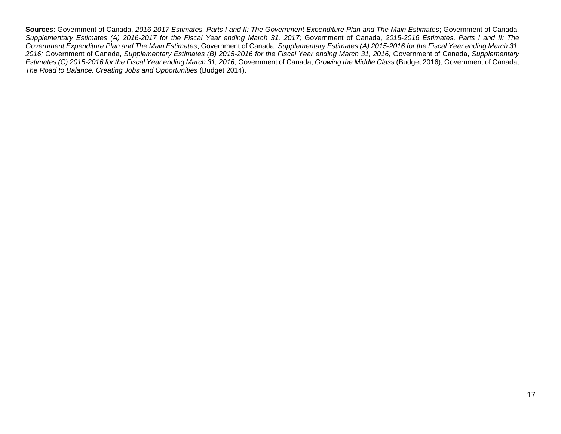**Sources**: Government of Canada, *2016-2017 Estimates, Parts I and II: The Government Expenditure Plan and The Main Estimates*; Government of Canada, *Supplementary Estimates (A) 2016-2017 for the Fiscal Year ending March 31, 2017;* Government of Canada, *2015-2016 Estimates, Parts I and II: The Government Expenditure Plan and The Main Estimates*; Government of Canada, *Supplementary Estimates (A) 2015-2016 for the Fiscal Year ending March 31, 2016;* Government of Canada, *Supplementary Estimates (B) 2015-2016 for the Fiscal Year ending March 31, 2016;* Government of Canada, *Supplementary Estimates (C) 2015-2016 for the Fiscal Year ending March 31, 2016;* Government of Canada, *Growing the Middle Class* (Budget 2016); Government of Canada, *The Road to Balance: Creating Jobs and Opportunities* (Budget 2014).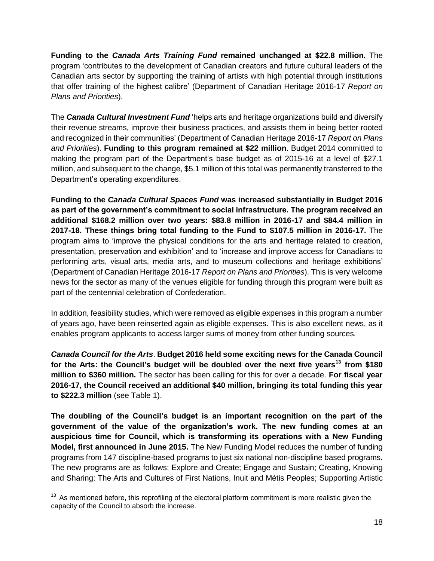**Funding to the** *Canada Arts Training Fund* **remained unchanged at \$22.8 million.** The program 'contributes to the development of Canadian creators and future cultural leaders of the Canadian arts sector by supporting the training of artists with high potential through institutions that offer training of the highest calibre' (Department of Canadian Heritage 2016-17 *Report on Plans and Priorities*).

The *Canada Cultural Investment Fund* 'helps arts and heritage organizations build and diversify their revenue streams, improve their business practices, and assists them in being better rooted and recognized in their communities' (Department of Canadian Heritage 2016-17 *Report on Plans and Priorities*). **Funding to this program remained at \$22 million**. Budget 2014 committed to making the program part of the Department's base budget as of 2015-16 at a level of \$27.1 million, and subsequent to the change, \$5.1 million of this total was permanently transferred to the Department's operating expenditures.

**Funding to the** *Canada Cultural Spaces Fund* **was increased substantially in Budget 2016 as part of the government's commitment to social infrastructure. The program received an additional \$168.2 million over two years: \$83.8 million in 2016-17 and \$84.4 million in 2017-18. These things bring total funding to the Fund to \$107.5 million in 2016-17.** The program aims to 'improve the physical conditions for the arts and heritage related to creation, presentation, preservation and exhibition' and to 'increase and improve access for Canadians to performing arts, visual arts, media arts, and to museum collections and heritage exhibitions' (Department of Canadian Heritage 2016-17 *Report on Plans and Priorities*). This is very welcome news for the sector as many of the venues eligible for funding through this program were built as part of the centennial celebration of Confederation.

In addition, feasibility studies, which were removed as eligible expenses in this program a number of years ago, have been reinserted again as eligible expenses. This is also excellent news, as it enables program applicants to access larger sums of money from other funding sources.

*Canada Council for the Arts*. **Budget 2016 held some exciting news for the Canada Council for the Arts: the Council's budget will be doubled over the next five years<sup>13</sup> from \$180 million to \$360 million.** The sector has been calling for this for over a decade. **For fiscal year 2016-17, the Council received an additional \$40 million, bringing its total funding this year to \$222.3 million** (see Table 1).

**The doubling of the Council's budget is an important recognition on the part of the government of the value of the organization's work. The new funding comes at an auspicious time for Council, which is transforming its operations with a New Funding Model, first announced in June 2015.** The New Funding Model reduces the number of funding programs from 147 discipline-based programs to just six national non-discipline based programs. The new programs are as follows: Explore and Create; Engage and Sustain; Creating, Knowing and Sharing: The Arts and Cultures of First Nations, Inuit and Métis Peoples; Supporting Artistic

  $13$  As mentioned before, this reprofiling of the electoral platform commitment is more realistic given the capacity of the Council to absorb the increase.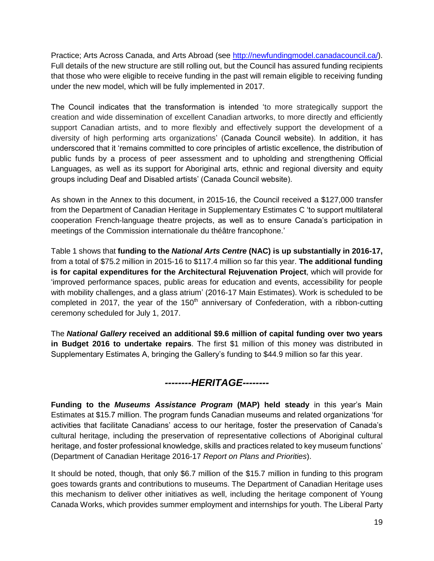Practice; Arts Across Canada, and Arts Abroad (see [http://newfundingmodel.canadacouncil.ca/\)](http://newfundingmodel.canadacouncil.ca/). Full details of the new structure are still rolling out, but the Council has assured funding recipients that those who were eligible to receive funding in the past will remain eligible to receiving funding under the new model, which will be fully implemented in 2017.

The Council indicates that the transformation is intended 'to more strategically support the creation and wide dissemination of excellent Canadian artworks, to more directly and efficiently support Canadian artists, and to more flexibly and effectively support the development of a diversity of high performing arts organizations' (Canada Council website). In addition, it has underscored that it 'remains committed to core principles of artistic excellence, the distribution of public funds by a process of peer assessment and to upholding and strengthening Official Languages, as well as its support for Aboriginal arts, ethnic and regional diversity and equity groups including Deaf and Disabled artists' (Canada Council website).

As shown in the Annex to this document, in 2015-16, the Council received a \$127,000 transfer from the Department of Canadian Heritage in Supplementary Estimates C 'to support multilateral cooperation French-language theatre projects, as well as to ensure Canada's participation in meetings of the Commission internationale du théâtre francophone.'

Table 1 shows that **funding to the** *National Arts Centre* **(NAC) is up substantially in 2016-17,**  from a total of \$75.2 million in 2015-16 to \$117.4 million so far this year. **The additional funding is for capital expenditures for the Architectural Rejuvenation Project**, which will provide for 'improved performance spaces, public areas for education and events, accessibility for people with mobility challenges, and a glass atrium' (2016-17 Main Estimates). Work is scheduled to be completed in 2017, the year of the  $150<sup>th</sup>$  anniversary of Confederation, with a ribbon-cutting ceremony scheduled for July 1, 2017.

The *National Gallery* **received an additional \$9.6 million of capital funding over two years in Budget 2016 to undertake repairs**. The first \$1 million of this money was distributed in Supplementary Estimates A, bringing the Gallery's funding to \$44.9 million so far this year.

## *--------HERITAGE--------*

**Funding to the** *Museums Assistance Program* **(MAP) held steady** in this year's Main Estimates at \$15.7 million. The program funds Canadian museums and related organizations 'for activities that facilitate Canadians' access to our heritage, foster the preservation of Canada's cultural heritage, including the preservation of representative collections of Aboriginal cultural heritage, and foster professional knowledge, skills and practices related to key museum functions' (Department of Canadian Heritage 2016-17 *Report on Plans and Priorities*).

It should be noted, though, that only \$6.7 million of the \$15.7 million in funding to this program goes towards grants and contributions to museums. The Department of Canadian Heritage uses this mechanism to deliver other initiatives as well, including the heritage component of Young Canada Works, which provides summer employment and internships for youth. The Liberal Party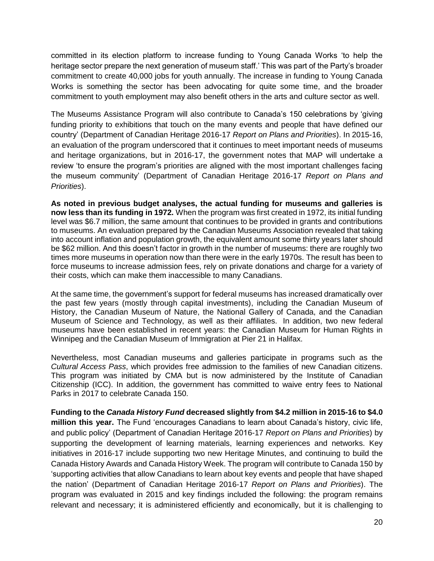committed in its election platform to increase funding to Young Canada Works 'to help the heritage sector prepare the next generation of museum staff.' This was part of the Party's broader commitment to create 40,000 jobs for youth annually. The increase in funding to Young Canada Works is something the sector has been advocating for quite some time, and the broader commitment to youth employment may also benefit others in the arts and culture sector as well.

The Museums Assistance Program will also contribute to Canada's 150 celebrations by 'giving funding priority to exhibitions that touch on the many events and people that have defined our country' (Department of Canadian Heritage 2016-17 *Report on Plans and Priorities*). In 2015-16, an evaluation of the program underscored that it continues to meet important needs of museums and heritage organizations, but in 2016-17, the government notes that MAP will undertake a review 'to ensure the program's priorities are aligned with the most important challenges facing the museum community' (Department of Canadian Heritage 2016-17 *Report on Plans and Priorities*).

**As noted in previous budget analyses, the actual funding for museums and galleries is now less than its funding in 1972.** When the program was first created in 1972, its initial funding level was \$6.7 million, the same amount that continues to be provided in grants and contributions to museums. An evaluation prepared by the Canadian Museums Association revealed that taking into account inflation and population growth, the equivalent amount some thirty years later should be \$62 million. And this doesn't factor in growth in the number of museums: there are roughly two times more museums in operation now than there were in the early 1970s. The result has been to force museums to increase admission fees, rely on private donations and charge for a variety of their costs, which can make them inaccessible to many Canadians.

At the same time, the government's support for federal museums has increased dramatically over the past few years (mostly through capital investments), including the Canadian Museum of History, the Canadian Museum of Nature, the National Gallery of Canada, and the Canadian Museum of Science and Technology, as well as their affiliates. In addition, two new federal museums have been established in recent years: the Canadian Museum for Human Rights in Winnipeg and the Canadian Museum of Immigration at Pier 21 in Halifax.

Nevertheless, most Canadian museums and galleries participate in programs such as the *Cultural Access Pass*, which provides free admission to the families of new Canadian citizens. This program was initiated by CMA but is now administered by the Institute of Canadian Citizenship (ICC). In addition, the government has committed to waive entry fees to National Parks in 2017 to celebrate Canada 150.

**Funding to the** *Canada History Fund* **decreased slightly from \$4.2 million in 2015-16 to \$4.0 million this year.** The Fund 'encourages Canadians to learn about Canada's history, civic life, and public policy' (Department of Canadian Heritage 2016-17 *Report on Plans and Priorities*) by supporting the development of learning materials, learning experiences and networks. Key initiatives in 2016-17 include supporting two new Heritage Minutes, and continuing to build the Canada History Awards and Canada History Week. The program will contribute to Canada 150 by 'supporting activities that allow Canadians to learn about key events and people that have shaped the nation' (Department of Canadian Heritage 2016-17 *Report on Plans and Priorities*). The program was evaluated in 2015 and key findings included the following: the program remains relevant and necessary; it is administered efficiently and economically, but it is challenging to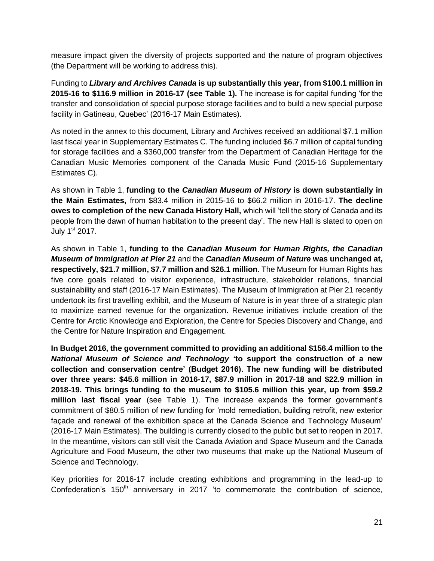measure impact given the diversity of projects supported and the nature of program objectives (the Department will be working to address this).

Funding to *Library and Archives Canada* **is up substantially this year, from \$100.1 million in 2015-16 to \$116.9 million in 2016-17 (see Table 1).** The increase is for capital funding 'for the transfer and consolidation of special purpose storage facilities and to build a new special purpose facility in Gatineau, Quebec' (2016-17 Main Estimates).

As noted in the annex to this document, Library and Archives received an additional \$7.1 million last fiscal year in Supplementary Estimates C. The funding included \$6.7 million of capital funding for storage facilities and a \$360,000 transfer from the Department of Canadian Heritage for the Canadian Music Memories component of the Canada Music Fund (2015-16 Supplementary Estimates C).

As shown in Table 1, **funding to the** *Canadian Museum of History* **is down substantially in the Main Estimates,** from \$83.4 million in 2015-16 to \$66.2 million in 2016-17. **The decline owes to completion of the new Canada History Hall,** which will 'tell the story of Canada and its people from the dawn of human habitation to the present day'. The new Hall is slated to open on July 1<sup>st</sup> 2017.

As shown in Table 1, **funding to the** *Canadian Museum for Human Rights, the Canadian Museum of Immigration at Pier 21* and the *Canadian Museum of Nature* **was unchanged at, respectively, \$21.7 million, \$7.7 million and \$26.1 million**. The Museum for Human Rights has five core goals related to visitor experience, infrastructure, stakeholder relations, financial sustainability and staff (2016-17 Main Estimates). The Museum of Immigration at Pier 21 recently undertook its first travelling exhibit, and the Museum of Nature is in year three of a strategic plan to maximize earned revenue for the organization. Revenue initiatives include creation of the Centre for Arctic Knowledge and Exploration, the Centre for Species Discovery and Change, and the Centre for Nature Inspiration and Engagement.

**In Budget 2016, the government committed to providing an additional \$156.4 million to the** *National Museum of Science and Technology* **'to support the construction of a new collection and conservation centre' (Budget 2016). The new funding will be distributed over three years: \$45.6 million in 2016-17, \$87.9 million in 2017-18 and \$22.9 million in 2018-19. This brings** f**unding to the museum to \$105.6 million this year, up from \$59.2 million last fiscal year** (see Table 1). The increase expands the former government's commitment of \$80.5 million of new funding for 'mold remediation, building retrofit, new exterior façade and renewal of the exhibition space at the Canada Science and Technology Museum' (2016-17 Main Estimates). The building is currently closed to the public but set to reopen in 2017. In the meantime, visitors can still visit the Canada Aviation and Space Museum and the Canada Agriculture and Food Museum, the other two museums that make up the National Museum of Science and Technology.

Key priorities for 2016-17 include creating exhibitions and programming in the lead-up to Confederation's  $150<sup>th</sup>$  anniversary in 2017 'to commemorate the contribution of science,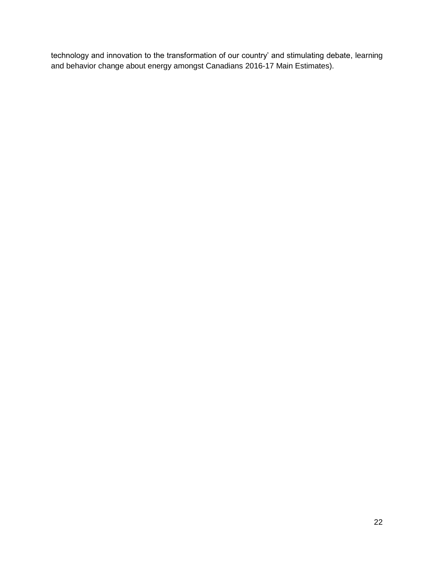technology and innovation to the transformation of our country' and stimulating debate, learning and behavior change about energy amongst Canadians 2016-17 Main Estimates).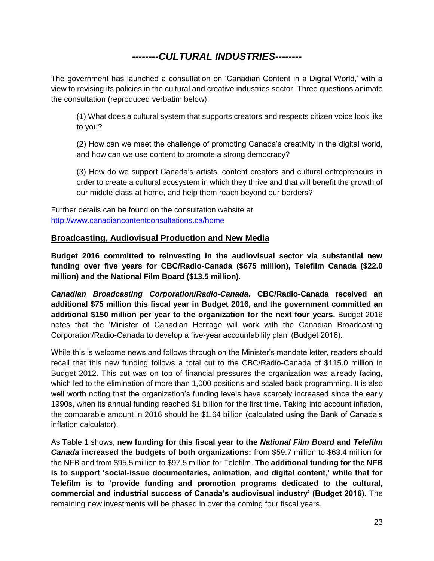## *--------CULTURAL INDUSTRIES--------*

The government has launched a consultation on 'Canadian Content in a Digital World,' with a view to revising its policies in the cultural and creative industries sector. Three questions animate the consultation (reproduced verbatim below):

(1) What does a cultural system that supports creators and respects citizen voice look like to you?

(2) How can we meet the challenge of promoting Canada's creativity in the digital world, and how can we use content to promote a strong democracy?

(3) How do we support Canada's artists, content creators and cultural entrepreneurs in order to create a cultural ecosystem in which they thrive and that will benefit the growth of our middle class at home, and help them reach beyond our borders?

Further details can be found on the consultation website at: <http://www.canadiancontentconsultations.ca/home>

## **Broadcasting, Audiovisual Production and New Media**

**Budget 2016 committed to reinvesting in the audiovisual sector via substantial new funding over five years for CBC/Radio-Canada (\$675 million), Telefilm Canada (\$22.0 million) and the National Film Board (\$13.5 million).** 

*Canadian Broadcasting Corporation/Radio-Canada***. CBC/Radio-Canada received an additional \$75 million this fiscal year in Budget 2016, and the government committed an additional \$150 million per year to the organization for the next four years.** Budget 2016 notes that the 'Minister of Canadian Heritage will work with the Canadian Broadcasting Corporation/Radio-Canada to develop a five-year accountability plan' (Budget 2016).

While this is welcome news and follows through on the Minister's mandate letter, readers should recall that this new funding follows a total cut to the CBC/Radio-Canada of \$115.0 million in Budget 2012. This cut was on top of financial pressures the organization was already facing, which led to the elimination of more than 1,000 positions and scaled back programming. It is also well worth noting that the organization's funding levels have scarcely increased since the early 1990s, when its annual funding reached \$1 billion for the first time. Taking into account inflation, the comparable amount in 2016 should be \$1.64 billion (calculated using the Bank of Canada's inflation calculator).

As Table 1 shows, **new funding for this fiscal year to the** *National Film Board* **and** *Telefilm Canada* **increased the budgets of both organizations:** from \$59.7 million to \$63.4 million for the NFB and from \$95.5 million to \$97.5 million for Telefilm. **The additional funding for the NFB is to support 'social-issue documentaries, animation, and digital content,' while that for Telefilm is to 'provide funding and promotion programs dedicated to the cultural, commercial and industrial success of Canada's audiovisual industry' (Budget 2016).** The remaining new investments will be phased in over the coming four fiscal years.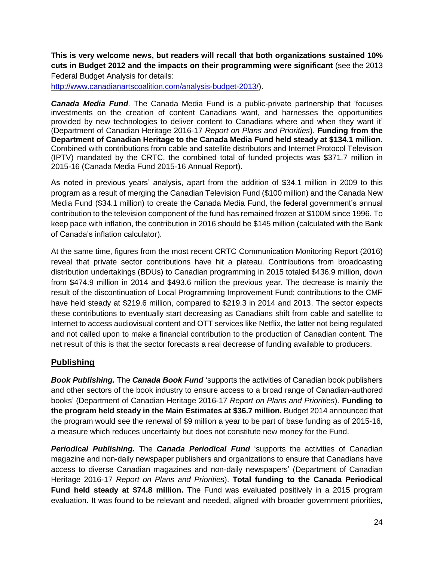**This is very welcome news, but readers will recall that both organizations sustained 10% cuts in Budget 2012 and the impacts on their programming were significant** (see the 2013 Federal Budget Analysis for details:

[http://www.canadianartscoalition.com/analysis-budget-2013/\)](http://www.canadianartscoalition.com/analysis-budget-2013/).

*Canada Media Fund*. The Canada Media Fund is a public-private partnership that 'focuses investments on the creation of content Canadians want, and harnesses the opportunities provided by new technologies to deliver content to Canadians where and when they want it' (Department of Canadian Heritage 2016-17 *Report on Plans and Priorities*). **Funding from the Department of Canadian Heritage to the Canada Media Fund held steady at \$134.1 million**. Combined with contributions from cable and satellite distributors and Internet Protocol Television (IPTV) mandated by the CRTC, the combined total of funded projects was \$371.7 million in 2015-16 (Canada Media Fund 2015-16 Annual Report).

As noted in previous years' analysis, apart from the addition of \$34.1 million in 2009 to this program as a result of merging the Canadian Television Fund (\$100 million) and the Canada New Media Fund (\$34.1 million) to create the Canada Media Fund, the federal government's annual contribution to the television component of the fund has remained frozen at \$100M since 1996. To keep pace with inflation, the contribution in 2016 should be \$145 million (calculated with the Bank of Canada's inflation calculator).

At the same time, figures from the most recent CRTC Communication Monitoring Report (2016) reveal that private sector contributions have hit a plateau. Contributions from broadcasting distribution undertakings (BDUs) to Canadian programming in 2015 totaled \$436.9 million, down from \$474.9 million in 2014 and \$493.6 million the previous year. The decrease is mainly the result of the discontinuation of Local Programming Improvement Fund; contributions to the CMF have held steady at \$219.6 million, compared to \$219.3 in 2014 and 2013. The sector expects these contributions to eventually start decreasing as Canadians shift from cable and satellite to Internet to access audiovisual content and OTT services like Netflix, the latter not being regulated and not called upon to make a financial contribution to the production of Canadian content. The net result of this is that the sector forecasts a real decrease of funding available to producers.

## **Publishing**

*Book Publishing.* The *Canada Book Fund* 'supports the activities of Canadian book publishers and other sectors of the book industry to ensure access to a broad range of Canadian-authored books' (Department of Canadian Heritage 2016-17 *Report on Plans and Priorities*). **Funding to the program held steady in the Main Estimates at \$36.7 million.** Budget 2014 announced that the program would see the renewal of \$9 million a year to be part of base funding as of 2015-16, a measure which reduces uncertainty but does not constitute new money for the Fund.

*Periodical Publishing.* The *Canada Periodical Fund* 'supports the activities of Canadian magazine and non-daily newspaper publishers and organizations to ensure that Canadians have access to diverse Canadian magazines and non-daily newspapers' (Department of Canadian Heritage 2016-17 *Report on Plans and Priorities*). **Total funding to the Canada Periodical Fund held steady at \$74.8 million.** The Fund was evaluated positively in a 2015 program evaluation. It was found to be relevant and needed, aligned with broader government priorities,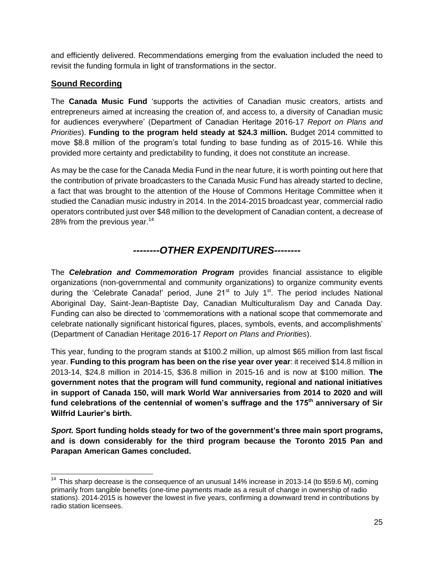and efficiently delivered. Recommendations emerging from the evaluation included the need to revisit the funding formula in light of transformations in the sector.

## **Sound Recording**

The **Canada Music Fund** 'supports the activities of Canadian music creators, artists and entrepreneurs aimed at increasing the creation of, and access to, a diversity of Canadian music for audiences everywhere' (Department of Canadian Heritage 2016-17 *Report on Plans and Priorities*). **Funding to the program held steady at \$24.3 million.** Budget 2014 committed to move \$8.8 million of the program's total funding to base funding as of 2015-16. While this provided more certainty and predictability to funding, it does not constitute an increase.

As may be the case for the Canada Media Fund in the near future, it is worth pointing out here that the contribution of private broadcasters to the Canada Music Fund has already started to decline, a fact that was brought to the attention of the House of Commons Heritage Committee when it studied the Canadian music industry in 2014. In the 2014-2015 broadcast year, commercial radio operators contributed just over \$48 million to the development of Canadian content, a decrease of 28% from the previous year.<sup>14</sup>

## *--------OTHER EXPENDITURES--------*

The *Celebration and Commemoration Program* provides financial assistance to eligible organizations (non-governmental and community organizations) to organize community events during the 'Celebrate Canada!' period, June  $21<sup>st</sup>$  to July 1<sup>st</sup>. The period includes National Aboriginal Day, Saint-Jean-Baptiste Day, Canadian Multiculturalism Day and Canada Day. Funding can also be directed to 'commemorations with a national scope that commemorate and celebrate nationally significant historical figures, places, symbols, events, and accomplishments' (Department of Canadian Heritage 2016-17 *Report on Plans and Priorities*).

This year, funding to the program stands at \$100.2 million, up almost \$65 million from last fiscal year. **Funding to this program has been on the rise year over year**: it received \$14.8 million in 2013-14, \$24.8 million in 2014-15, \$36.8 million in 2015-16 and is now at \$100 million. **The government notes that the program will fund community, regional and national initiatives in support of Canada 150, will mark World War anniversaries from 2014 to 2020 and will fund celebrations of the centennial of women's suffrage and the 175th anniversary of Sir Wilfrid Laurier's birth.** 

*Sport.* **Sport funding holds steady for two of the government's three main sport programs, and is down considerably for the third program because the Toronto 2015 Pan and Parapan American Games concluded.** 

  $14$  This sharp decrease is the consequence of an unusual 14% increase in 2013-14 (to \$59.6 M), coming primarily from tangible benefits (one-time payments made as a result of change in ownership of radio stations). 2014-2015 is however the lowest in five years, confirming a downward trend in contributions by radio station licensees.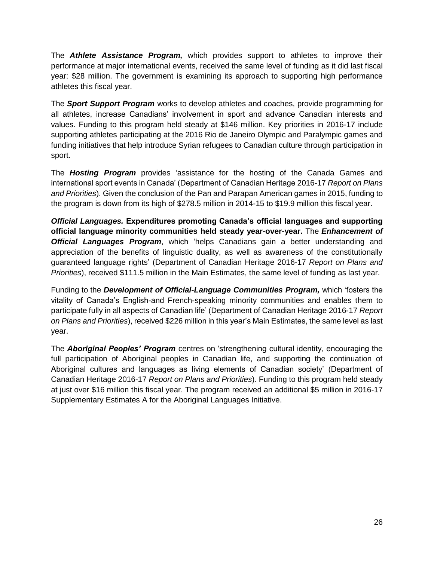The *Athlete Assistance Program,* which provides support to athletes to improve their performance at major international events, received the same level of funding as it did last fiscal year: \$28 million. The government is examining its approach to supporting high performance athletes this fiscal year.

The *Sport Support Program* works to develop athletes and coaches, provide programming for all athletes, increase Canadians' involvement in sport and advance Canadian interests and values. Funding to this program held steady at \$146 million. Key priorities in 2016-17 include supporting athletes participating at the 2016 Rio de Janeiro Olympic and Paralympic games and funding initiatives that help introduce Syrian refugees to Canadian culture through participation in sport.

The *Hosting Program* provides 'assistance for the hosting of the Canada Games and international sport events in Canada' (Department of Canadian Heritage 2016-17 *Report on Plans and Priorities*). Given the conclusion of the Pan and Parapan American games in 2015, funding to the program is down from its high of \$278.5 million in 2014-15 to \$19.9 million this fiscal year.

*Official Languages.* **Expenditures promoting Canada's official languages and supporting official language minority communities held steady year-over-year.** The *Enhancement of Official Languages Program*, which 'helps Canadians gain a better understanding and appreciation of the benefits of linguistic duality, as well as awareness of the constitutionally guaranteed language rights' (Department of Canadian Heritage 2016-17 *Report on Plans and Priorities*), received \$111.5 million in the Main Estimates, the same level of funding as last year.

Funding to the *Development of Official-Language Communities Program,* which 'fosters the vitality of Canada's English-and French-speaking minority communities and enables them to participate fully in all aspects of Canadian life' (Department of Canadian Heritage 2016-17 *Report on Plans and Priorities*), received \$226 million in this year's Main Estimates, the same level as last year.

The *Aboriginal Peoples' Program* centres on 'strengthening cultural identity, encouraging the full participation of Aboriginal peoples in Canadian life, and supporting the continuation of Aboriginal cultures and languages as living elements of Canadian society' (Department of Canadian Heritage 2016-17 *Report on Plans and Priorities*). Funding to this program held steady at just over \$16 million this fiscal year. The program received an additional \$5 million in 2016-17 Supplementary Estimates A for the Aboriginal Languages Initiative.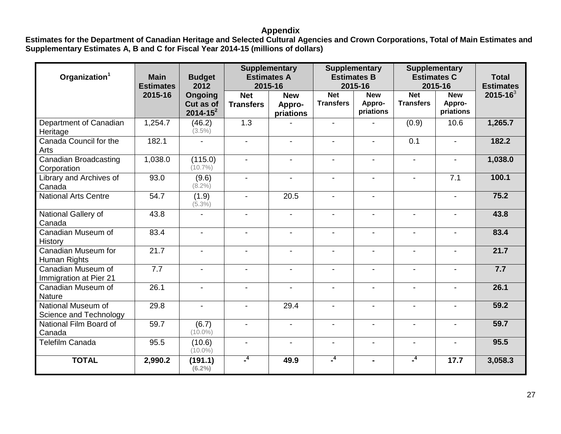## **Appendix**

**Estimates for the Department of Canadian Heritage and Selected Cultural Agencies and Crown Corporations, Total of Main Estimates and Supplementary Estimates A, B and C for Fiscal Year 2014-15 (millions of dollars)**

| Organization <sup>1</sup>                    | <b>Main</b><br><b>Estimates</b> | <b>Budget</b><br>2012                 | <b>Supplementary</b><br><b>Estimates A</b><br>2015-16 |                                   | <b>Supplementary</b><br><b>Estimates B</b><br>2015-16 |                                   | <b>Supplementary</b><br><b>Estimates C</b><br>2015-16 |                                   | <b>Total</b><br><b>Estimates</b> |
|----------------------------------------------|---------------------------------|---------------------------------------|-------------------------------------------------------|-----------------------------------|-------------------------------------------------------|-----------------------------------|-------------------------------------------------------|-----------------------------------|----------------------------------|
|                                              | 2015-16                         | Ongoing<br>Cut as of<br>$2014 - 15^2$ | <b>Net</b><br><b>Transfers</b>                        | <b>New</b><br>Appro-<br>priations | <b>Net</b><br><b>Transfers</b>                        | <b>New</b><br>Appro-<br>priations | <b>Net</b><br><b>Transfers</b>                        | <b>New</b><br>Appro-<br>priations | $2015 - 16^3$                    |
| Department of Canadian<br>Heritage           | 1,254.7                         | (46.2)<br>$(3.5\%)$                   | 1.3                                                   |                                   | $\blacksquare$                                        |                                   | (0.9)                                                 | 10.6                              | 1,265.7                          |
| Canada Council for the<br>Arts               | 182.1                           | $\overline{\phantom{0}}$              | $\blacksquare$                                        | $\blacksquare$                    | $\overline{\phantom{a}}$                              | $\blacksquare$                    | $\overline{0.1}$                                      | $\blacksquare$                    | 182.2                            |
| Canadian Broadcasting<br>Corporation         | 1,038.0                         | (115.0)<br>$(10.7\%)$                 | $\blacksquare$                                        | $\blacksquare$                    | $\overline{\phantom{a}}$                              | $\overline{a}$                    | $\blacksquare$                                        | $\blacksquare$                    | 1,038.0                          |
| Library and Archives of<br>Canada            | 93.0                            | (9.6)<br>$(8.2\%)$                    | $\blacksquare$                                        | $\blacksquare$                    | $\blacksquare$                                        | $\sim$                            |                                                       | 7.1                               | 100.1                            |
| <b>National Arts Centre</b>                  | 54.7                            | (1.9)<br>$(5.3\%)$                    | $\blacksquare$                                        | 20.5                              | $\blacksquare$                                        |                                   |                                                       | $\overline{\phantom{a}}$          | 75.2                             |
| National Gallery of<br>Canada                | 43.8                            | $\overline{\phantom{a}}$              | $\overline{\phantom{a}}$                              | $\blacksquare$                    | $\overline{\phantom{a}}$                              | $\blacksquare$                    |                                                       | $\blacksquare$                    | 43.8                             |
| Canadian Museum of<br>History                | 83.4                            | $\blacksquare$                        | $\blacksquare$                                        | $\overline{a}$                    | $\blacksquare$                                        | $\sim$                            | $\overline{a}$                                        | $\overline{a}$                    | 83.4                             |
| Canadian Museum for<br>Human Rights          | 21.7                            | $\blacksquare$                        | $\blacksquare$                                        |                                   | $\overline{\phantom{a}}$                              |                                   |                                                       |                                   | 21.7                             |
| Canadian Museum of<br>Immigration at Pier 21 | 7.7                             | $\blacksquare$                        | $\blacksquare$                                        | $\blacksquare$                    | $\blacksquare$                                        | $\blacksquare$                    | $\blacksquare$                                        | $\blacksquare$                    | 7.7                              |
| Canadian Museum of<br><b>Nature</b>          | 26.1                            | $\blacksquare$                        | $\blacksquare$                                        |                                   |                                                       |                                   |                                                       |                                   | 26.1                             |
| National Museum of<br>Science and Technology | 29.8                            | $\overline{\phantom{a}}$              | $\blacksquare$                                        | 29.4                              | $\blacksquare$                                        | $\blacksquare$                    |                                                       | $\blacksquare$                    | 59.2                             |
| National Film Board of<br>Canada             | 59.7                            | (6.7)<br>$(10.0\%)$                   | $\blacksquare$                                        | $\blacksquare$                    | $\blacksquare$                                        | $\overline{a}$                    | $\blacksquare$                                        | $\blacksquare$                    | 59.7                             |
| <b>Telefilm Canada</b>                       | 95.5                            | (10.6)<br>$(10.0\%)$                  | $\blacksquare$                                        | $\blacksquare$                    | $\blacksquare$                                        | $\blacksquare$                    |                                                       | $\blacksquare$                    | 95.5                             |
| <b>TOTAL</b>                                 | 2,990.2                         | (191.1)<br>$(6.2\%)$                  | $-4$                                                  | 49.9                              | $\mathbf{I}^4$                                        | $\blacksquare$                    | $^{-4}$                                               | 17.7                              | 3,058.3                          |